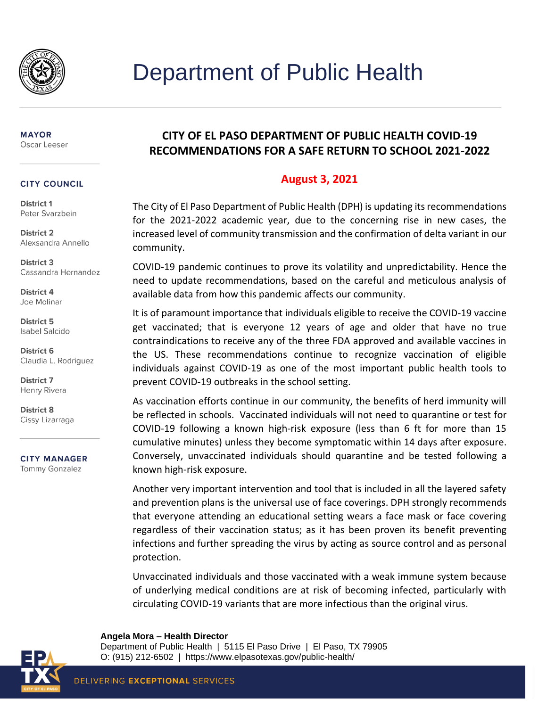

#### **MAYOR** Oscar Leeser

#### **CITY COUNCIL**

District 1 Peter Svarzbein

**District 2** Alexsandra Annello

District 3 Cassandra Hernandez

District 4 Joe Molinar

District 5 **Isabel Salcido** 

District 6 Claudia L. Rodriguez

**District 7** Henry Rivera

District 8 Cissy Lizarraga

**CITY MANAGER** 

**Tommy Gonzalez** 

## **CITY OF EL PASO DEPARTMENT OF PUBLIC HEALTH COVID-19 RECOMMENDATIONS FOR A SAFE RETURN TO SCHOOL 2021-2022**

### **August 3, 2021**

The City of El Paso Department of Public Health (DPH) is updating itsrecommendations for the 2021-2022 academic year, due to the concerning rise in new cases, the increased level of community transmission and the confirmation of delta variant in our community.

COVID-19 pandemic continues to prove its volatility and unpredictability. Hence the need to update recommendations, based on the careful and meticulous analysis of available data from how this pandemic affects our community.

It is of paramount importance that individuals eligible to receive the COVID-19 vaccine get vaccinated; that is everyone 12 years of age and older that have no true contraindications to receive any of the three FDA approved and available vaccines in the US. These recommendations continue to recognize vaccination of eligible individuals against COVID-19 as one of the most important public health tools to prevent COVID-19 outbreaks in the school setting.

As vaccination efforts continue in our community, the benefits of herd immunity will be reflected in schools. Vaccinated individuals will not need to quarantine or test for COVID-19 following a known high-risk exposure (less than 6 ft for more than 15 cumulative minutes) unless they become symptomatic within 14 days after exposure. Conversely, unvaccinated individuals should quarantine and be tested following a known high-risk exposure.

Another very important intervention and tool that is included in all the layered safety and prevention plans is the universal use of face coverings. DPH strongly recommends that everyone attending an educational setting wears a face mask or face covering regardless of their vaccination status; as it has been proven its benefit preventing infections and further spreading the virus by acting as source control and as personal protection.

Unvaccinated individuals and those vaccinated with a weak immune system because of underlying medical conditions are at risk of becoming infected, particularly with circulating COVID-19 variants that are more infectious than the original virus.

#### **Angela Mora – Health Director**

Department of Public Health | 5115 El Paso Drive | El Paso, TX 79905 O: (915) 212-6502 | https://www.elpasotexas.gov/public-health/

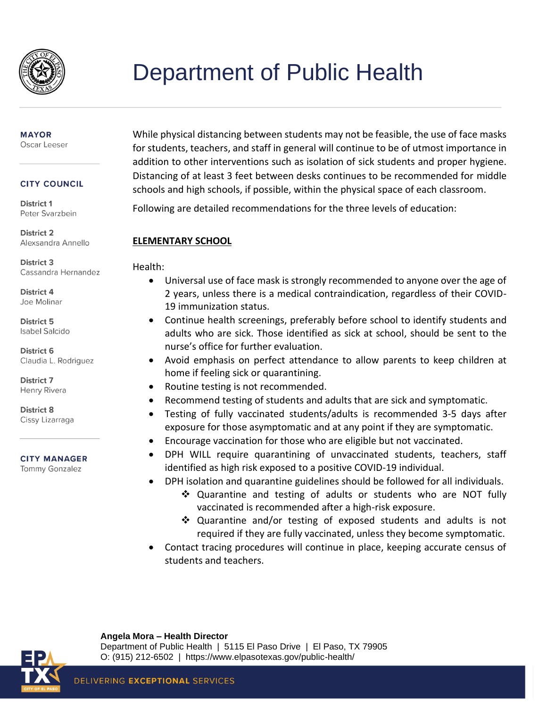

## **MAYOR**

Oscar Leeser

### **CITY COUNCIL**

District 1 Peter Svarzbein

**District 2** Alexsandra Annello

**District 3** Cassandra Hernandez

District 4 Joe Molinar

District 5 **Isabel Salcido** 

District 6 Claudia L. Rodriguez

District 7 Henry Rivera

**District 8** Cissy Lizarraga

### **CITY MANAGER**

**Tommy Gonzalez** 

While physical distancing between students may not be feasible, the use of face masks for students, teachers, and staff in general will continue to be of utmost importance in addition to other interventions such as isolation of sick students and proper hygiene. Distancing of at least 3 feet between desks continues to be recommended for middle schools and high schools, if possible, within the physical space of each classroom.

Following are detailed recommendations for the three levels of education:

### **ELEMENTARY SCHOOL**

Health:

- Universal use of face mask is strongly recommended to anyone over the age of 2 years, unless there is a medical contraindication, regardless of their COVID-19 immunization status.
- Continue health screenings, preferably before school to identify students and adults who are sick. Those identified as sick at school, should be sent to the nurse's office for further evaluation.
- Avoid emphasis on perfect attendance to allow parents to keep children at home if feeling sick or quarantining.
- Routine testing is not recommended.
- Recommend testing of students and adults that are sick and symptomatic.
- Testing of fully vaccinated students/adults is recommended 3-5 days after exposure for those asymptomatic and at any point if they are symptomatic.
- Encourage vaccination for those who are eligible but not vaccinated.
- DPH WILL require quarantining of unvaccinated students, teachers, staff identified as high risk exposed to a positive COVID-19 individual.
- DPH isolation and quarantine guidelines should be followed for all individuals.
	- ❖ Quarantine and testing of adults or students who are NOT fully vaccinated is recommended after a high-risk exposure.
	- ❖ Quarantine and/or testing of exposed students and adults is not required if they are fully vaccinated, unless they become symptomatic.
- Contact tracing procedures will continue in place, keeping accurate census of students and teachers.



**Angela Mora – Health Director** Department of Public Health | 5115 El Paso Drive | El Paso, TX 79905 O: (915) 212-6502 | https://www.elpasotexas.gov/public-health/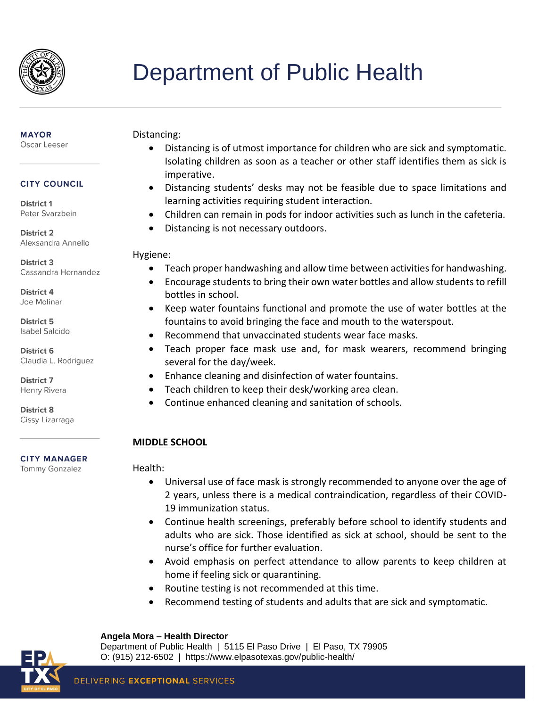

## **MAYOR**

Oscar Leeser

### **CITY COUNCIL**

District 1 Peter Svarzbein

**District 2** Alexsandra Annello

**District 3** Cassandra Hernandez

District 4 Joe Molinar

District 5 **Isabel Salcido** 

District 6 Claudia L. Rodriguez

District 7 Henry Rivera

District 8 Cissy Lizarraga

### **CITY MANAGER**

**Tommy Gonzalez** 

### Distancing:

- Distancing is of utmost importance for children who are sick and symptomatic. Isolating children as soon as a teacher or other staff identifies them as sick is imperative.
- Distancing students' desks may not be feasible due to space limitations and learning activities requiring student interaction.
- Children can remain in pods for indoor activities such as lunch in the cafeteria.
- Distancing is not necessary outdoors.

### Hygiene:

- Teach proper handwashing and allow time between activities for handwashing.
- Encourage students to bring their own water bottles and allow students to refill bottles in school.
- Keep water fountains functional and promote the use of water bottles at the fountains to avoid bringing the face and mouth to the waterspout.
- Recommend that unvaccinated students wear face masks.
- Teach proper face mask use and, for mask wearers, recommend bringing several for the day/week.
- Enhance cleaning and disinfection of water fountains.
- Teach children to keep their desk/working area clean.
- Continue enhanced cleaning and sanitation of schools.

## **MIDDLE SCHOOL**

## Health:

- Universal use of face mask is strongly recommended to anyone over the age of 2 years, unless there is a medical contraindication, regardless of their COVID-19 immunization status.
- Continue health screenings, preferably before school to identify students and adults who are sick. Those identified as sick at school, should be sent to the nurse's office for further evaluation.
- Avoid emphasis on perfect attendance to allow parents to keep children at home if feeling sick or quarantining.
- Routine testing is not recommended at this time.
- Recommend testing of students and adults that are sick and symptomatic.

### **Angela Mora – Health Director**

Department of Public Health | 5115 El Paso Drive | El Paso, TX 79905 O: (915) 212-6502 | https://www.elpasotexas.gov/public-health/

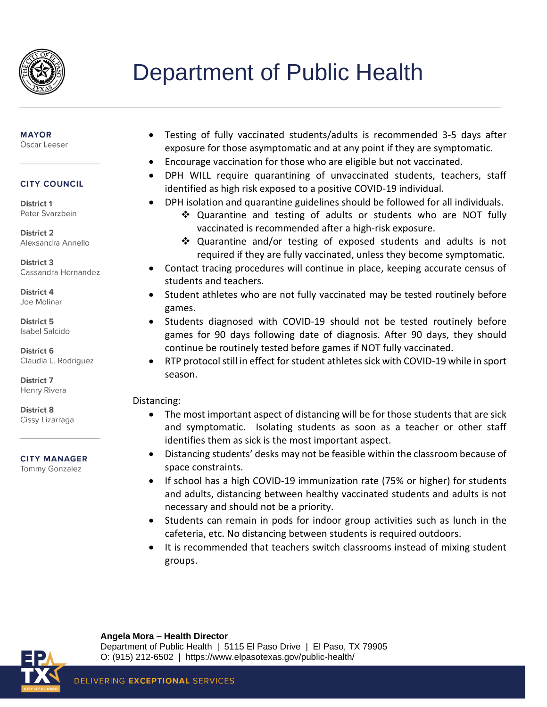

### **MAYOR**

Oscar Leeser

### **CITY COUNCIL**

District 1 Peter Svarzbein

**District 2** Alexsandra Annello

**District 3** Cassandra Hernandez

District 4 Joe Molinar

District 5 **Isabel Salcido** 

District 6 Claudia L. Rodriguez

**District 7** Henry Rivera

District 8 Cissy Lizarraga

### **CITY MANAGER**

**Tommy Gonzalez** 

- Testing of fully vaccinated students/adults is recommended 3-5 days after exposure for those asymptomatic and at any point if they are symptomatic.
- Encourage vaccination for those who are eligible but not vaccinated.
- DPH WILL require quarantining of unvaccinated students, teachers, staff identified as high risk exposed to a positive COVID-19 individual.
- DPH isolation and quarantine guidelines should be followed for all individuals.
	- ❖ Quarantine and testing of adults or students who are NOT fully vaccinated is recommended after a high-risk exposure.
	- ❖ Quarantine and/or testing of exposed students and adults is not required if they are fully vaccinated, unless they become symptomatic.
- Contact tracing procedures will continue in place, keeping accurate census of students and teachers.
- Student athletes who are not fully vaccinated may be tested routinely before games.
- Students diagnosed with COVID-19 should not be tested routinely before games for 90 days following date of diagnosis. After 90 days, they should continue be routinely tested before games if NOT fully vaccinated.
- RTP protocol still in effect for student athletes sick with COVID-19 while in sport season.

### Distancing:

- The most important aspect of distancing will be for those students that are sick and symptomatic. Isolating students as soon as a teacher or other staff identifies them as sick is the most important aspect.
- Distancing students' desks may not be feasible within the classroom because of space constraints.
- If school has a high COVID-19 immunization rate (75% or higher) for students and adults, distancing between healthy vaccinated students and adults is not necessary and should not be a priority.
- Students can remain in pods for indoor group activities such as lunch in the cafeteria, etc. No distancing between students is required outdoors.
- It is recommended that teachers switch classrooms instead of mixing student groups.



**Angela Mora – Health Director** Department of Public Health | 5115 El Paso Drive | El Paso, TX 79905 O: (915) 212-6502 | https://www.elpasotexas.gov/public-health/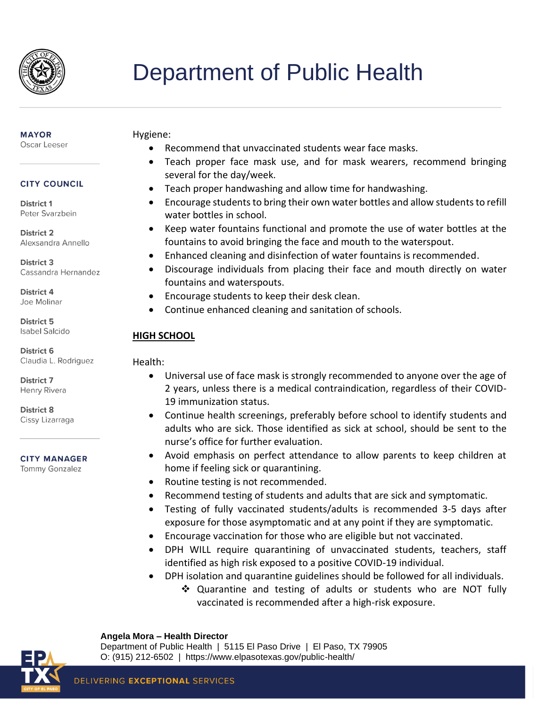

#### **MAYOR** Oscar Leeser

## **CITY COUNCIL**

District 1 Peter Svarzbein

**District 2** Alexsandra Annello

District 3 Cassandra Hernandez

District 4 Joe Molinar

District 5 **Isabel Salcido** 

District 6 Claudia L. Rodriguez

**District 7** Henry Rivera

District 8 Cissy Lizarraga

### **CITY MANAGER**

**Tommy Gonzalez** 

### Hygiene:

- Recommend that unvaccinated students wear face masks.
- Teach proper face mask use, and for mask wearers, recommend bringing several for the day/week.
- Teach proper handwashing and allow time for handwashing.
- Encourage students to bring their own water bottles and allow students to refill water bottles in school.
- Keep water fountains functional and promote the use of water bottles at the fountains to avoid bringing the face and mouth to the waterspout.
- Enhanced cleaning and disinfection of water fountains is recommended.
- Discourage individuals from placing their face and mouth directly on water fountains and waterspouts.
- Encourage students to keep their desk clean.
- Continue enhanced cleaning and sanitation of schools.

### **HIGH SCHOOL**

### Health:

- Universal use of face mask is strongly recommended to anyone over the age of 2 years, unless there is a medical contraindication, regardless of their COVID-19 immunization status.
- Continue health screenings, preferably before school to identify students and adults who are sick. Those identified as sick at school, should be sent to the nurse's office for further evaluation.
- Avoid emphasis on perfect attendance to allow parents to keep children at home if feeling sick or quarantining.
- Routine testing is not recommended.
- Recommend testing of students and adults that are sick and symptomatic.
- Testing of fully vaccinated students/adults is recommended 3-5 days after exposure for those asymptomatic and at any point if they are symptomatic.
- Encourage vaccination for those who are eligible but not vaccinated.
- DPH WILL require quarantining of unvaccinated students, teachers, staff identified as high risk exposed to a positive COVID-19 individual.
- DPH isolation and quarantine guidelines should be followed for all individuals.
	- ❖ Quarantine and testing of adults or students who are NOT fully vaccinated is recommended after a high-risk exposure.



# **Angela Mora – Health Director**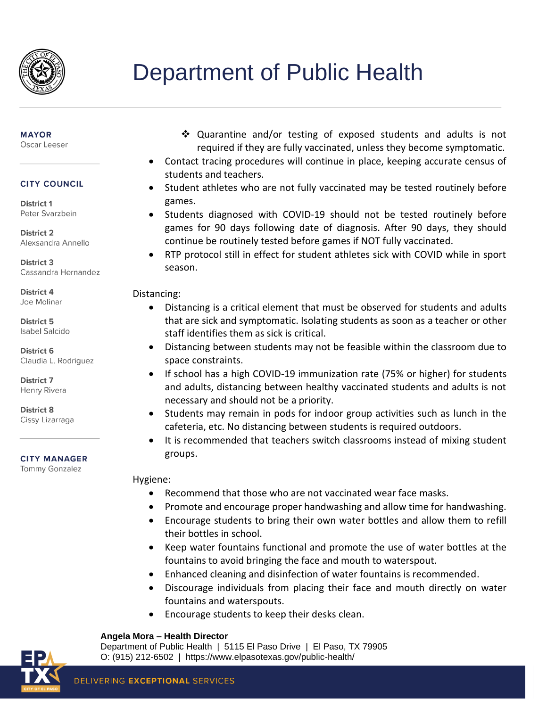

## **MAYOR**

Oscar Leeser

### **CITY COUNCIL**

District 1 Peter Svarzbein

**District 2** Alexsandra Annello

**District 3** Cassandra Hernandez

District 4 Joe Molinar

District 5 **Isabel Salcido** 

District 6 Claudia L. Rodriguez

**District 7** Henry Rivera

District 8 Cissy Lizarraga

### **CITY MANAGER**

**Tommy Gonzalez** 

- ❖ Quarantine and/or testing of exposed students and adults is not required if they are fully vaccinated, unless they become symptomatic.
- Contact tracing procedures will continue in place, keeping accurate census of students and teachers.
- Student athletes who are not fully vaccinated may be tested routinely before games.
- Students diagnosed with COVID-19 should not be tested routinely before games for 90 days following date of diagnosis. After 90 days, they should continue be routinely tested before games if NOT fully vaccinated.
- RTP protocol still in effect for student athletes sick with COVID while in sport season.

### Distancing:

- Distancing is a critical element that must be observed for students and adults that are sick and symptomatic. Isolating students as soon as a teacher or other staff identifies them as sick is critical.
- Distancing between students may not be feasible within the classroom due to space constraints.
- If school has a high COVID-19 immunization rate (75% or higher) for students and adults, distancing between healthy vaccinated students and adults is not necessary and should not be a priority.
- Students may remain in pods for indoor group activities such as lunch in the cafeteria, etc. No distancing between students is required outdoors.
- It is recommended that teachers switch classrooms instead of mixing student groups.

### Hygiene:

- Recommend that those who are not vaccinated wear face masks.
- Promote and encourage proper handwashing and allow time for handwashing.
- Encourage students to bring their own water bottles and allow them to refill their bottles in school.
- Keep water fountains functional and promote the use of water bottles at the fountains to avoid bringing the face and mouth to waterspout.
- Enhanced cleaning and disinfection of water fountains is recommended.
- Discourage individuals from placing their face and mouth directly on water fountains and waterspouts.
- Encourage students to keep their desks clean.

### **Angela Mora – Health Director**